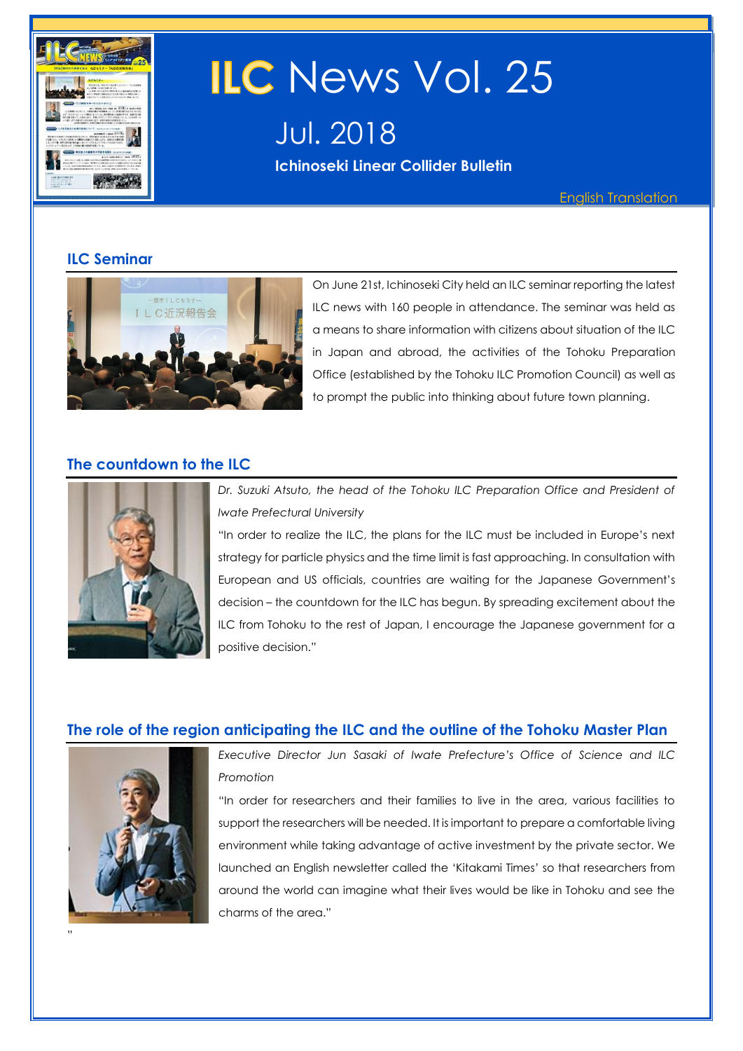

# ILC News Vol. 25

Jul. 2018

**Ichinoseki Linear Collider Bulletin** 

English Translation

# **ILC Seminar**



On June 21st, Ichinoseki City held an ILC seminar reporting the latest ILC news with 160 people in attendance. The seminar was held as a means to share information with citizens about situation of the ILC in Japan and abroad, the activities of the Tohoku Preparation Office (established by the Tohoku ILC Promotion Council) as well as to prompt the public into thinking about future town planning.

# **The countdown to the ILC**



Dr. Suzuki Atsuto, the head of the Tohoku ILC Preparation Office and President of *Iwate Prefectural University*

"In order to realize the ILC, the plans for the ILC must be included in Europe's next strategy for particle physics and the time limit is fast approaching. In consultation with European and US officials, countries are waiting for the Japanese Government's decision – the countdown for the ILC has begun. By spreading excitement about the ILC from Tohoku to the rest of Japan, I encourage the Japanese government for a positive decision."

# **The role of the region anticipating the ILC and the outline of the Tohoku Master Plan**



"

*Executive Director Jun Sasaki of Iwate Prefecture's Office of Science and ILC Promotion*

"In order for researchers and their families to live in the area, various facilities to support the researchers will be needed. It is important to prepare a comfortable living environment while taking advantage of active investment by the private sector. We launched an English newsletter called the 'Kitakami Times' so that researchers from around the world can imagine what their lives would be like in Tohoku and see the charms of the area."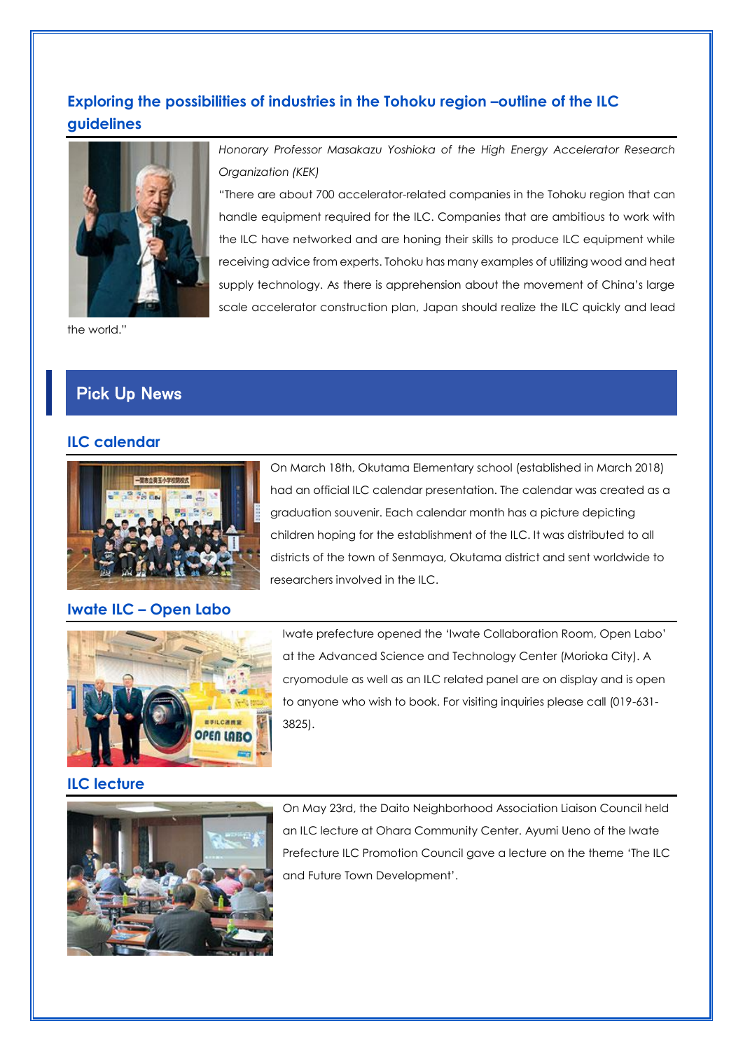# **Exploring the possibilities of industries in the Tohoku region –outline of the ILC guidelines**



the world."

# Pick Up News

#### **ILC calendar**



# On March 18th, Okutama Elementary school (established in March 2018) had an official ILC calendar presentation. The calendar was created as a graduation souvenir. Each calendar month has a picture depicting children hoping for the establishment of the ILC. It was distributed to all districts of the town of Senmaya, Okutama district and sent worldwide to researchers involved in the ILC.

"There are about 700 accelerator-related companies in the Tohoku region that can

#### **Iwate ILC – Open Labo**



Iwate prefecture opened the 'Iwate Collaboration Room, Open Labo' at the Advanced Science and Technology Center (Morioka City). A cryomodule as well as an ILC related panel are on display and is open to anyone who wish to book. For visiting inquiries please call (019-631- 3825).

#### **ILC lecture**



On May 23rd, the Daito Neighborhood Association Liaison Council held an ILC lecture at Ohara Community Center. Ayumi Ueno of the Iwate Prefecture ILC Promotion Council gave a lecture on the theme 'The ILC and Future Town Development'.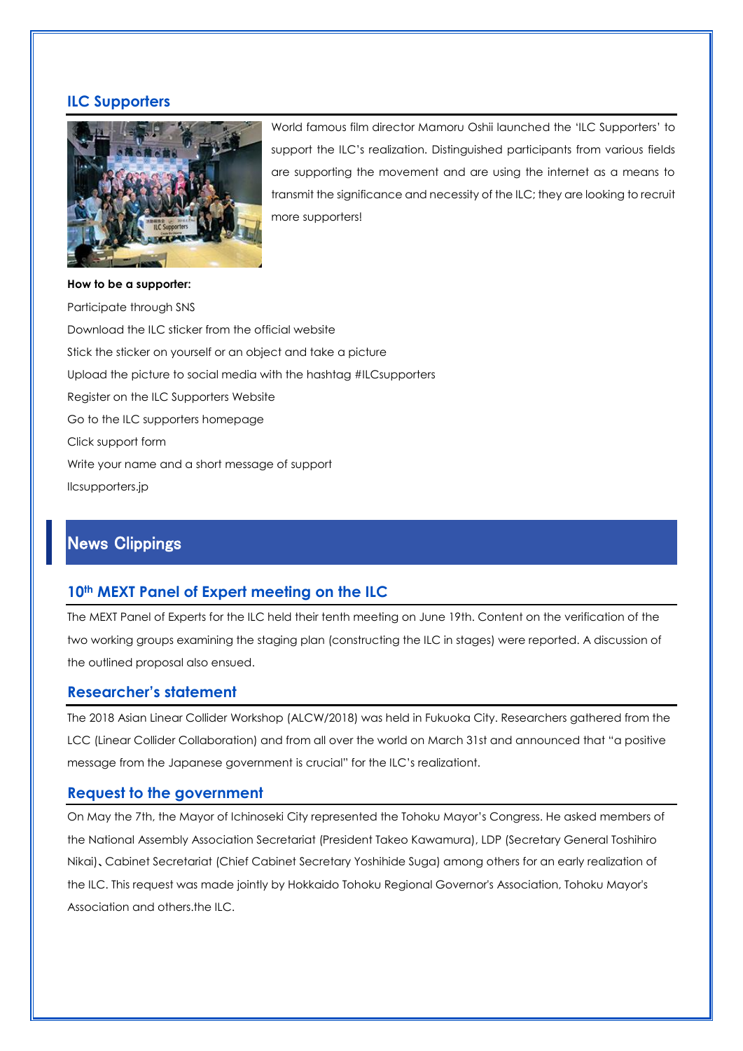#### **ILC Supporters**



World famous film director Mamoru Oshii launched the 'ILC Supporters' to support the ILC's realization. Distinguished participants from various fields are supporting the movement and are using the internet as a means to transmit the significance and necessity of the ILC; they are looking to recruit more supporters!

#### **How to be a supporter:**

Participate through SNS Download the ILC sticker from the official website Stick the sticker on yourself or an object and take a picture Upload the picture to social media with the hashtag #ILCsupporters Register on the ILC Supporters Website Go to the ILC supporters homepage Click support form Write your name and a short message of support [Ilcsupporters.jp](http://ilcsupporters.jp/campaign/)

# News Clippings

#### **10th MEXT Panel of Expert meeting on the ILC**

The MEXT Panel of Experts for the ILC held their tenth meeting on June 19th. Content on the verification of the two working groups examining the staging plan (constructing the ILC in stages) were reported. A discussion of the outlined proposal also ensued.

#### **Researcher's statement**

The 2018 Asian Linear Collider Workshop (ALCW/2018) was held in Fukuoka City. Researchers gathered from the LCC (Linear Collider Collaboration) and from all over the world on March 31st and announced that "a positive message from the Japanese government is crucial" for the ILC's realizationt.

#### **Request to the government**

On May the 7th, the Mayor of Ichinoseki City represented the Tohoku Mayor's Congress. He asked members of the National Assembly Association Secretariat (President Takeo Kawamura), LDP (Secretary General Toshihiro Nikai)、Cabinet Secretariat (Chief Cabinet Secretary Yoshihide Suga) among others for an early realization of the ILC. This request was made jointly by Hokkaido Tohoku Regional Governor's Association, Tohoku Mayor's Association and others.the ILC.